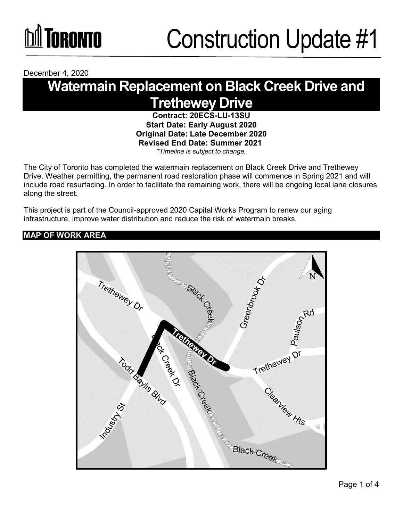# **DA TORONTO**

December 4, 2020

### **Watermain Replacement on Black Creek Drive and Trethewey Drive**

**Contract: 20ECS-LU-13SU Start Date: Early August 2020 Original Date: Late December 2020 Revised End Date: Summer 2021**  *\*Timeline is subject to change.*

The City of Toronto has completed the watermain replacement on Black Creek Drive and Trethewey Drive. Weather permitting, the permanent road restoration phase will commence in Spring 2021 and will include road resurfacing. In order to facilitate the remaining work, there will be ongoing local lane closures along the street.

This project is part of the Council-approved 2020 Capital Works Program to renew our aging infrastructure, improve water distribution and reduce the risk of watermain breaks.

#### **MAP OF WORK AREA**

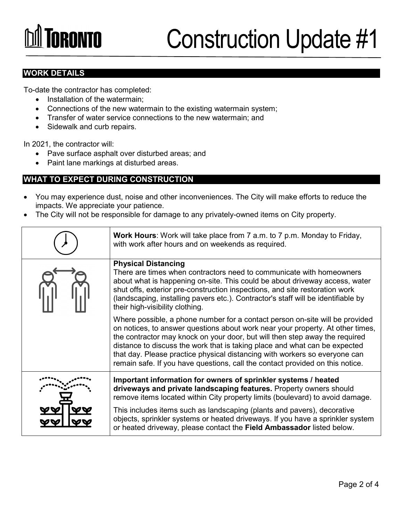# **TORONTO**

### Construction Update #1

#### **WORK DETAILS**

To-date the contractor has completed:

- Installation of the watermain;
- Connections of the new watermain to the existing watermain system;
- Transfer of water service connections to the new watermain; and
- Sidewalk and curb repairs.

In 2021, the contractor will:

- Pave surface asphalt over disturbed areas; and
- Paint lane markings at disturbed areas.

#### **WHAT TO EXPECT DURING CONSTRUCTION**

- You may experience dust, noise and other inconveniences. The City will make efforts to reduce the impacts. We appreciate your patience.
- The City will not be responsible for damage to any privately-owned items on City property.

| <b>Work Hours:</b> Work will take place from 7 a.m. to 7 p.m. Monday to Friday,<br>with work after hours and on weekends as required.                                                                                                                                                                                                                                                                                                                                                      |
|--------------------------------------------------------------------------------------------------------------------------------------------------------------------------------------------------------------------------------------------------------------------------------------------------------------------------------------------------------------------------------------------------------------------------------------------------------------------------------------------|
| <b>Physical Distancing</b><br>There are times when contractors need to communicate with homeowners<br>about what is happening on-site. This could be about driveway access, water<br>shut offs, exterior pre-construction inspections, and site restoration work<br>(landscaping, installing pavers etc.). Contractor's staff will be identifiable by<br>their high-visibility clothing.                                                                                                   |
| Where possible, a phone number for a contact person on-site will be provided<br>on notices, to answer questions about work near your property. At other times,<br>the contractor may knock on your door, but will then step away the required<br>distance to discuss the work that is taking place and what can be expected<br>that day. Please practice physical distancing with workers so everyone can<br>remain safe. If you have questions, call the contact provided on this notice. |
| Important information for owners of sprinkler systems / heated<br>driveways and private landscaping features. Property owners should<br>remove items located within City property limits (boulevard) to avoid damage.                                                                                                                                                                                                                                                                      |
| This includes items such as landscaping (plants and pavers), decorative<br>objects, sprinkler systems or heated driveways. If you have a sprinkler system<br>or heated driveway, please contact the Field Ambassador listed below.                                                                                                                                                                                                                                                         |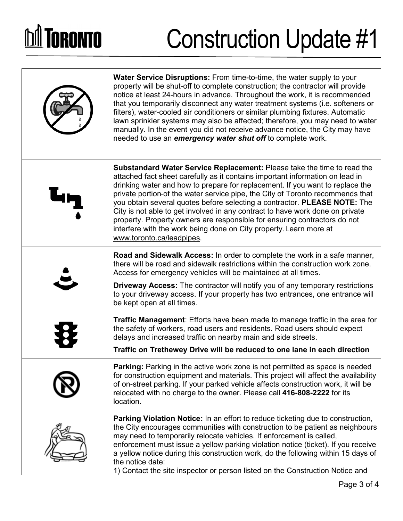# **DA TORONTO**

## Construction Update #1

| <b>Water Service Disruptions:</b> From time-to-time, the water supply to your<br>property will be shut-off to complete construction; the contractor will provide<br>notice at least 24-hours in advance. Throughout the work, it is recommended<br>that you temporarily disconnect any water treatment systems (i.e. softeners or<br>filters), water-cooled air conditioners or similar plumbing fixtures. Automatic<br>lawn sprinkler systems may also be affected; therefore, you may need to water<br>manually. In the event you did not receive advance notice, the City may have<br>needed to use an emergency water shut off to complete work.                             |
|----------------------------------------------------------------------------------------------------------------------------------------------------------------------------------------------------------------------------------------------------------------------------------------------------------------------------------------------------------------------------------------------------------------------------------------------------------------------------------------------------------------------------------------------------------------------------------------------------------------------------------------------------------------------------------|
| <b>Substandard Water Service Replacement:</b> Please take the time to read the<br>attached fact sheet carefully as it contains important information on lead in<br>drinking water and how to prepare for replacement. If you want to replace the<br>private portion-of the water service pipe, the City of Toronto recommends that<br>you obtain several quotes before selecting a contractor. PLEASE NOTE: The<br>City is not able to get involved in any contract to have work done on private<br>property. Property owners are responsible for ensuring contractors do not<br>interfere with the work being done on City property. Learn more at<br>www.toronto.ca/leadpipes. |
| <b>Road and Sidewalk Access:</b> In order to complete the work in a safe manner,<br>there will be road and sidewalk restrictions within the construction work zone.<br>Access for emergency vehicles will be maintained at all times.<br><b>Driveway Access:</b> The contractor will notify you of any temporary restrictions<br>to your driveway access. If your property has two entrances, one entrance will<br>be kept open at all times.                                                                                                                                                                                                                                    |
| <b>Traffic Management:</b> Efforts have been made to manage traffic in the area for<br>the safety of workers, road users and residents. Road users should expect<br>delays and increased traffic on nearby main and side streets.<br>Traffic on Trethewey Drive will be reduced to one lane in each direction                                                                                                                                                                                                                                                                                                                                                                    |
| Parking: Parking in the active work zone is not permitted as space is needed<br>for construction equipment and materials. This project will affect the availability<br>of on-street parking. If your parked vehicle affects construction work, it will be<br>relocated with no charge to the owner. Please call 416-808-2222 for its<br>location.                                                                                                                                                                                                                                                                                                                                |
| <b>Parking Violation Notice:</b> In an effort to reduce ticketing due to construction,<br>the City encourages communities with construction to be patient as neighbours<br>may need to temporarily relocate vehicles. If enforcement is called,<br>enforcement must issue a yellow parking violation notice (ticket). If you receive<br>a yellow notice during this construction work, do the following within 15 days of<br>the notice date:<br>1) Contact the site inspector or person listed on the Construction Notice and                                                                                                                                                   |